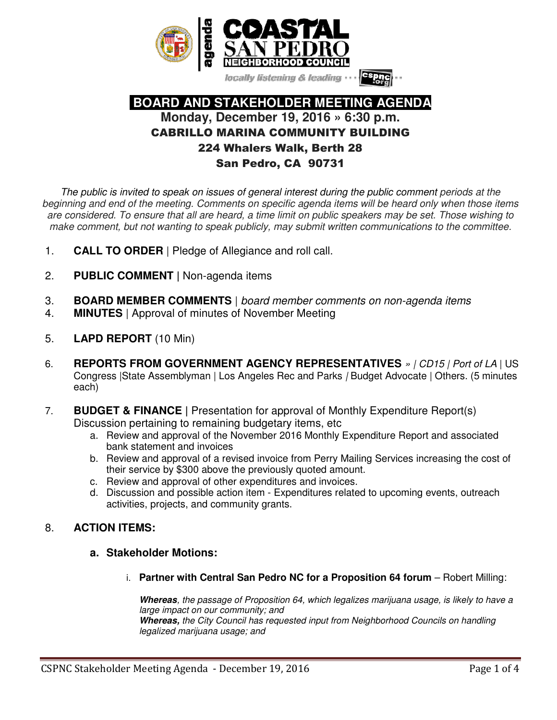

locally listening & leading

# **BOARD AND STAKEHOLDER MEETING AGENDA Monday, December 19, 2016 » 6:30 p.m.**  CABRILLO MARINA COMMUNITY BUILDING 224 Whalers Walk, Berth 28 San Pedro, CA 90731

*The public is invited to speak on issues of general interest during the public comment periods at the beginning and end of the meeting. Comments on specific agenda items will be heard only when those items are considered. To ensure that all are heard, a time limit on public speakers may be set. Those wishing to make comment, but not wanting to speak publicly, may submit written communications to the committee.*

- 1. **CALL TO ORDER** | Pledge of Allegiance and roll call.
- 2. **PUBLIC COMMENT |** Non-agenda items
- 3. **BOARD MEMBER COMMENTS** | *board member comments on non-agenda items*
- 4. **MINUTES** | Approval of minutes of November Meeting
- 5. **LAPD REPORT** (10 Min)
- 6. **REPORTS FROM GOVERNMENT AGENCY REPRESENTATIVES** *» | CD15 | Port of LA* | US Congress |State Assemblyman | Los Angeles Rec and Parks *|* Budget Advocate | Others. (5 minutes each)
- 7. **BUDGET & FINANCE |** Presentation for approval of Monthly Expenditure Report(s) Discussion pertaining to remaining budgetary items, etc
	- a. Review and approval of the November 2016 Monthly Expenditure Report and associated bank statement and invoices
	- b. Review and approval of a revised invoice from Perry Mailing Services increasing the cost of their service by \$300 above the previously quoted amount.
	- c. Review and approval of other expenditures and invoices.
	- d. Discussion and possible action item Expenditures related to upcoming events, outreach activities, projects, and community grants.

# 8. **ACTION ITEMS:**

- **a. Stakeholder Motions:**
	- i. **Partner with Central San Pedro NC for a Proposition 64 forum** Robert Milling:

**Whereas***, the passage of Proposition 64, which legalizes marijuana usage, is likely to have a large impact on our community; and* **Whereas,** *the City Council has requested input from Neighborhood Councils on handling legalized marijuana usage; and*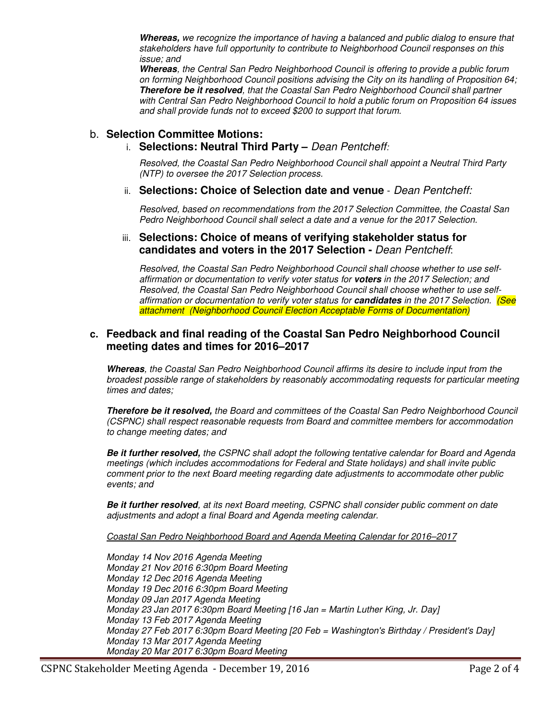**Whereas,** *we recognize the importance of having a balanced and public dialog to ensure that stakeholders have full opportunity to contribute to Neighborhood Council responses on this issue; and*

**Whereas***, the Central San Pedro Neighborhood Council is offering to provide a public forum on forming Neighborhood Council positions advising the City on its handling of Proposition 64;*  **Therefore be it resolved***, that the Coastal San Pedro Neighborhood Council shall partner with Central San Pedro Neighborhood Council to hold a public forum on Proposition 64 issues and shall provide funds not to exceed \$200 to support that forum.* 

# b. **Selection Committee Motions:**

# i. **Selections: Neutral Third Party –** *Dean Pentcheff:*

*Resolved, the Coastal San Pedro Neighborhood Council shall appoint a Neutral Third Party (NTP) to oversee the 2017 Selection process.*

#### ii. **Selections: Choice of Selection date and venue** - *Dean Pentcheff:*

*Resolved, based on recommendations from the 2017 Selection Committee, the Coastal San Pedro Neighborhood Council shall select a date and a venue for the 2017 Selection.*

#### iii. **Selections: Choice of means of verifying stakeholder status for candidates and voters in the 2017 Selection -** *Dean Pentcheff*:

*Resolved, the Coastal San Pedro Neighborhood Council shall choose whether to use selfaffirmation or documentation to verify voter status for* **voters** *in the 2017 Selection; and Resolved, the Coastal San Pedro Neighborhood Council shall choose whether to use selfaffirmation or documentation to verify voter status for* **candidates** *in the 2017 Selection. (See attachment (Neighborhood Council Election Acceptable Forms of Documentation)*

### **c. Feedback and final reading of the Coastal San Pedro Neighborhood Council meeting dates and times for 2016–2017**

**Whereas***, the Coastal San Pedro Neighborhood Council affirms its desire to include input from the broadest possible range of stakeholders by reasonably accommodating requests for particular meeting times and dates;* 

**Therefore be it resolved,** *the Board and committees of the Coastal San Pedro Neighborhood Council (CSPNC) shall respect reasonable requests from Board and committee members for accommodation to change meeting dates; and* 

**Be it further resolved,** *the CSPNC shall adopt the following tentative calendar for Board and Agenda meetings (which includes accommodations for Federal and State holidays) and shall invite public comment prior to the next Board meeting regarding date adjustments to accommodate other public events; and* 

**Be it further resolved***, at its next Board meeting, CSPNC shall consider public comment on date adjustments and adopt a final Board and Agenda meeting calendar.* 

#### *Coastal San Pedro Neighborhood Board and Agenda Meeting Calendar for 2016–2017*

*Monday 14 Nov 2016 Agenda Meeting Monday 21 Nov 2016 6:30pm Board Meeting Monday 12 Dec 2016 Agenda Meeting Monday 19 Dec 2016 6:30pm Board Meeting Monday 09 Jan 2017 Agenda Meeting Monday 23 Jan 2017 6:30pm Board Meeting [16 Jan = Martin Luther King, Jr. Day] Monday 13 Feb 2017 Agenda Meeting Monday 27 Feb 2017 6:30pm Board Meeting [20 Feb = Washington's Birthday / President's Day] Monday 13 Mar 2017 Agenda Meeting Monday 20 Mar 2017 6:30pm Board Meeting*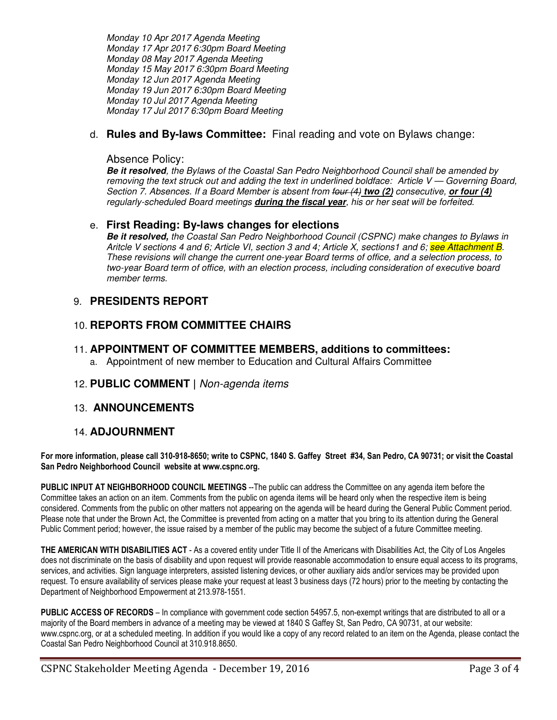*Monday 10 Apr 2017 Agenda Meeting Monday 17 Apr 2017 6:30pm Board Meeting Monday 08 May 2017 Agenda Meeting Monday 15 May 2017 6:30pm Board Meeting Monday 12 Jun 2017 Agenda Meeting Monday 19 Jun 2017 6:30pm Board Meeting Monday 10 Jul 2017 Agenda Meeting Monday 17 Jul 2017 6:30pm Board Meeting* 

# d. **Rules and By-laws Committee:** Final reading and vote on Bylaws change:

## Absence Policy:

**Be it resolved***, the Bylaws of the Coastal San Pedro Neighborhood Council shall be amended by removing the text struck out and adding the text in underlined boldface: Article V — Governing Board, Section 7. Absences. If a Board Member is absent from four (4)* **two (2)** *consecutive,* **or four (4)**  *regularly-scheduled Board meetings* **during the fiscal year***, his or her seat will be forfeited.* 

### e. **First Reading: By-laws changes for elections**

**Be it resolved,** *the Coastal San Pedro Neighborhood Council (CSPNC) make changes to Bylaws in Aritcle V sections 4 and 6; Article VI, section 3 and 4; Article X, sections1 and 6; see Attachment B. These revisions will change the current one-year Board terms of office, and a selection process, to two-year Board term of office, with an election process, including consideration of executive board member terms*.

# 9. **PRESIDENTS REPORT**

# 10. **REPORTS FROM COMMITTEE CHAIRS**

- 11. **APPOINTMENT OF COMMITTEE MEMBERS, additions to committees:**
	- a. Appointment of new member to Education and Cultural Affairs Committee
- 12. **PUBLIC COMMENT |** *Non-agenda items*

### 13. **ANNOUNCEMENTS**

### 14. **ADJOURNMENT**

**For more information, please call 310-918-8650; write to CSPNC, 1840 S. Gaffey Street #34, San Pedro, CA 90731; or visit the Coastal San Pedro Neighborhood Council website at www.cspnc.org.** 

**PUBLIC INPUT AT NEIGHBORHOOD COUNCIL MEETINGS** --The public can address the Committee on any agenda item before the Committee takes an action on an item. Comments from the public on agenda items will be heard only when the respective item is being considered. Comments from the public on other matters not appearing on the agenda will be heard during the General Public Comment period. Please note that under the Brown Act, the Committee is prevented from acting on a matter that you bring to its attention during the General Public Comment period; however, the issue raised by a member of the public may become the subject of a future Committee meeting.

**THE AMERICAN WITH DISABILITIES ACT** - As a covered entity under Title II of the Americans with Disabilities Act, the City of Los Angeles does not discriminate on the basis of disability and upon request will provide reasonable accommodation to ensure equal access to its programs, services, and activities. Sign language interpreters, assisted listening devices, or other auxiliary aids and/or services may be provided upon request. To ensure availability of services please make your request at least 3 business days (72 hours) prior to the meeting by contacting the Department of Neighborhood Empowerment at 213.978-1551.

**PUBLIC ACCESS OF RECORDS** – In compliance with government code section 54957.5, non-exempt writings that are distributed to all or a majority of the Board members in advance of a meeting may be viewed at 1840 S Gaffey St, San Pedro, CA 90731, at our website: www.cspnc.org, or at a scheduled meeting. In addition if you would like a copy of any record related to an item on the Agenda, please contact the Coastal San Pedro Neighborhood Council at 310.918.8650.